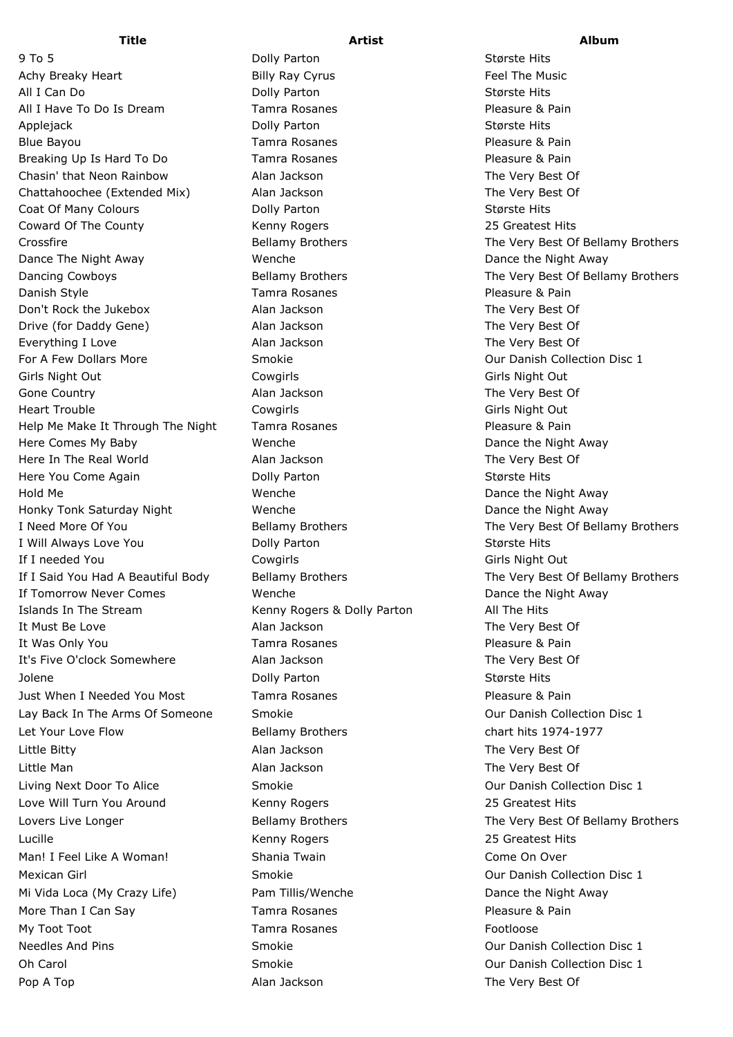Achy Breaky Heart **East Exercise State Billy Ray Cyrus** Feel The Music All I Can Do Dolly Parton Største Hits All I Have To Do Is Dream Tamra Rosanes Tammer Consumers Reasure & Pain Applejack **Dolly Parton Største Hits** Dolly Parton Største Hits Blue Bayou **National Example 2** Tamra Rosanes **National Pleasure & Pain** Breaking Up Is Hard To Do Tamra Rosanes Tramma Rosanes Pleasure & Pain Chasin' that Neon Rainbow Alan Jackson The Very Best Of Chattahoochee (Extended Mix) Alan Jackson The Very Best Of Coat Of Many Colours **Dolly Parton** Dolly Parton Største Hits Coward Of The County The County The Kenny Rogers 25 Greatest Hits Crossfire **Bellamy Brothers** The Very Best Of Bellamy Brothers Crossfire Dance The Night Away **Wenche** Wenche **Dance The Night Away** Dancing Cowboys **Bellamy Brothers** The Very Best Of Bellamy Brothers **The Very Best Of Bellamy Brothers** Danish Style Tamra Rosanes Pleasure & Pain Don't Rock the Jukebox Alan Jackson The Very Best Of Drive (for Daddy Gene) **Alan Jackson** Alan Jackson The Very Best Of Everything I Love **Alan Jackson** Alan Jackson The Very Best Of For A Few Dollars More **Smokie** Communication Collection Disc 1 Girls Night Out Cowgirls Girls Night Out Gone Country **Alan Jackson** Alan Jackson The Very Best Of Heart Trouble **Cowgirls** Cowgirls Communication Communication Cowgirls Communication Communication Communication Communication Communication Communication Communication Communication Communication Communication Communicati Help Me Make It Through The Night Tamra Rosanes The Measure & Pain Here Comes My Baby **Nemetal Comes Wenche** Wenche Dance the Night Away Here In The Real World **Alan Jackson** Alan Jackson The Very Best Of Here You Come Again **Største Hits** Dolly Parton **Største Hits** Største Hits Hold Me Wenche Dance the Night Away Honky Tonk Saturday Night Wenche Dance the Night Away I Need More Of You **Bellamy Brothers** The Very Best Of Bellamy Brothers The Very Best Of Bellamy Brothers I Will Always Love You **Dolly Parton** Største Hits Største Hits If I needed You **Cowgirls** Cowgirls **Girls Night Out** Girls Night Out If I Said You Had A Beautiful Body Bellamy Brothers The Very Best Of Bellamy Brothers If Tomorrow Never Comes Wenche Dance the Night Away Islands In The Stream Kenny Rogers & Dolly Parton All The Hits It Must Be Love **Alan Jackson** Alan Jackson The Very Best Of It Was Only You Tamra Rosanes Pleasure & Pain It's Five O'clock Somewhere **Alan Jackson** Alan Jackson The Very Best Of Jolene Dolly Parton Største Hits Just When I Needed You Most Tamra Rosanes Trammer Consumer Pleasure & Pain Lay Back In The Arms Of Someone Smokie Contract Controller Controllection Disc 1 Let Your Love Flow Bellamy Brothers chart hits 1974-1977 Little Bitty Alan Jackson The Very Best Of Little Man Alan Jackson The Very Best Of Living Next Door To Alice Smokie Our Danish Collection Disc 1 Love Will Turn You Around **Kenny Rogers** 25 Greatest Hits Lovers Live Longer The Very Best Of Bellamy Brothers The Very Best Of Bellamy Brothers Lucille Kenny Rogers 25 Greatest Hits Man! I Feel Like A Woman! Shania Twain Come On Over Mexican Girl **Musican Girl Smokie** Smokie **Collection Disc 1** Our Danish Collection Disc 1 Mi Vida Loca (My Crazy Life) Pam Tillis/Wenche Dance the Night Away More Than I Can Say **Tamra Rosanes** Pleasure & Pain My Toot Toot **Tamra Rosanes** Footloose Footloose Needles And Pins **Smokie Collection Collection Disc 1** Needles And Pins 1 Oh Carol Smokie Collection Disc 1 Collection Disc 1

9 To 5 Største Hits Colly Parton Største Hits Største Hits

## **Title Artist Album**

Pop A Top **A** Top **A** Top **A** Top **A** The Very Best Of **A** Alan Jackson **The Very Best Of**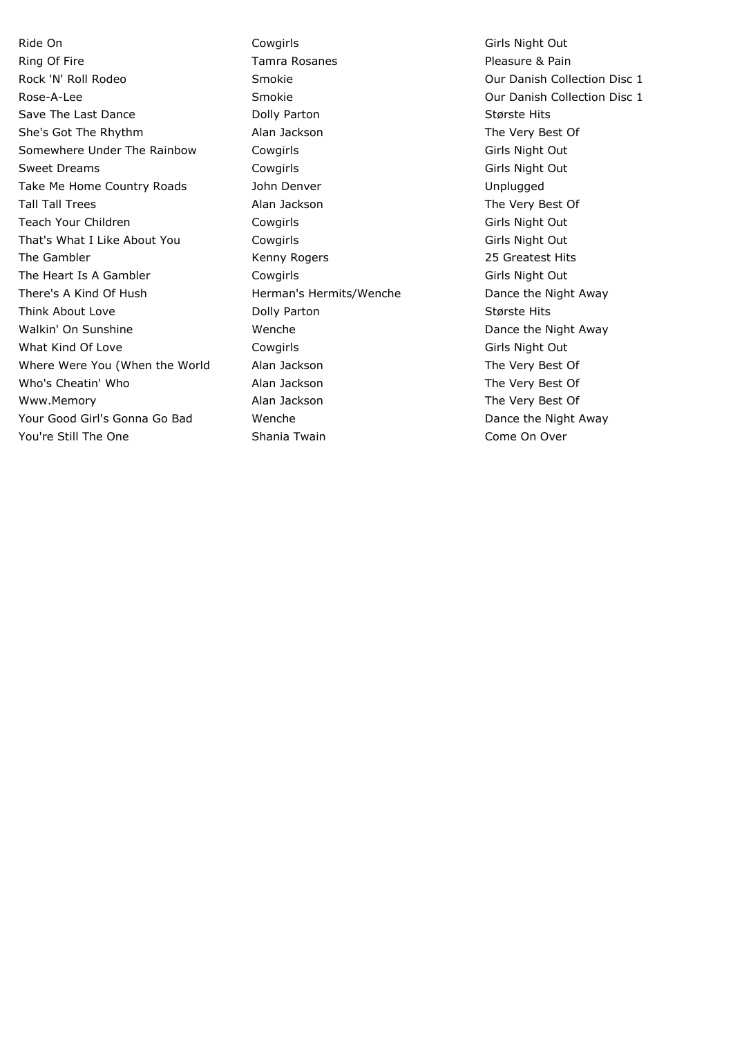Ride On **Cowgirls** Cowgirls Cowgirls Communication Communication Cowgirls Communication Communication Communication Communication Communication Communication Communication Communication Communication Communication Communic Ring Of Fire **Tamra Rosanes Pleasure & Pain** Pleasure & Pain Rock 'N' Roll Rodeo **Smokie Collection Collection Disc 1** Collection Disc 1 Rose-A-Lee **Smokie Collection Disc 1** Smokie Collection Disc 1 Save The Last Dance The Last Dolly Parton Colly Parton Største Hits She's Got The Rhythm Alan Jackson The Very Best Of Somewhere Under The Rainbow Cowgirls Communications Communications Communications Communications Communication Sweet Dreams Cowgirls Cowgirls Cowgits Cowgits Cowgits Cowgits Communications of the Girls Night Out Take Me Home Country Roads The John Denver Take Me Home Unplugged Tall Tall Trees The Very Best Of Alan Jackson The Very Best Of Teach Your Children Cowgirls Cowgirls Cowgirls Communication Communication Cowgirls Cowgirls Communication Communication Communication Communication Communication Communication Communication Communication Communication Com That's What I Like About You Cowgirls Communication Communication Communication Communication Communication Communication Communication Communication Communication Communication Communication Communication Communication Co The Gambler The Gambler Communication Center School Communications (Separate School 25 Greatest Hits The Heart Is A Gambler Cowgirls Communication Communication Communication Communication Communication Communication Communication Communication Communication Communication Communication Communication Communication Communic There's A Kind Of Hush **Herman's Hermits/Wenche** Dance the Night Away Think About Love **State Colly Parton** Colly Parton Colly Parton Største Hits Walkin' On Sunshine **Wenche** Wenche Dance the Night Away What Kind Of Love **Cowgirls** Cowgirls Communication Communication Cowgirls Communication Communication Communication Communication Communication Communication Communication Communication Communication Communication Communi Where Were You (When the World Alan Jackson The Very Best Of Who's Cheatin' Who **Alan Jackson** Alan Jackson The Very Best Of Www.Memory **Alan Jackson** Music Chemory Alan Jackson The Very Best Of Your Good Girl's Gonna Go Bad Wenche Wenche Dance the Night Away You're Still The One Shania Twain Come Shania Twain Come On Over